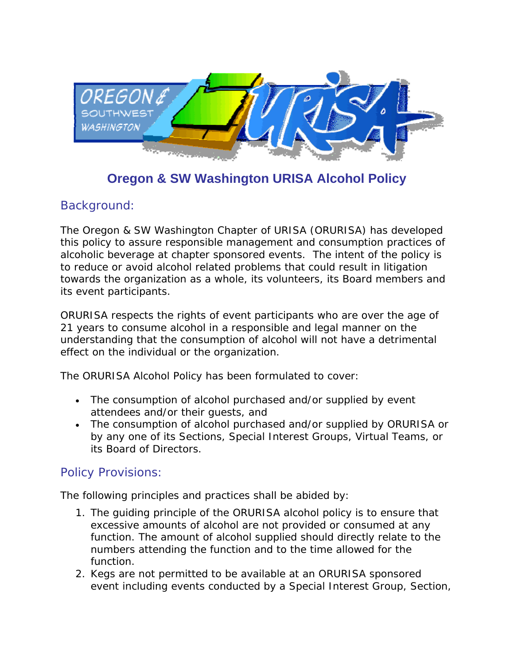

## **Oregon & SW Washington URISA Alcohol Policy**

## Background:

The Oregon & SW Washington Chapter of URISA (ORURISA) has developed this policy to assure responsible management and consumption practices of alcoholic beverage at chapter sponsored events. The intent of the policy is to reduce or avoid alcohol related problems that could result in litigation towards the organization as a whole, its volunteers, its Board members and its event participants.

ORURISA respects the rights of event participants who are over the age of 21 years to consume alcohol in a responsible and legal manner on the understanding that the consumption of alcohol will not have a detrimental effect on the individual or the organization.

The ORURISA Alcohol Policy has been formulated to cover:

- The consumption of alcohol purchased and/or supplied by event attendees and/or their guests, and
- The consumption of alcohol purchased and/or supplied by ORURISA or by any one of its Sections, Special Interest Groups, Virtual Teams, or its Board of Directors.

## Policy Provisions:

The following principles and practices shall be abided by:

- 1. The guiding principle of the ORURISA alcohol policy is to ensure that excessive amounts of alcohol are not provided or consumed at any function. The amount of alcohol supplied should directly relate to the numbers attending the function and to the time allowed for the function.
- 2. Kegs are not permitted to be available at an ORURISA sponsored event including events conducted by a Special Interest Group, Section,